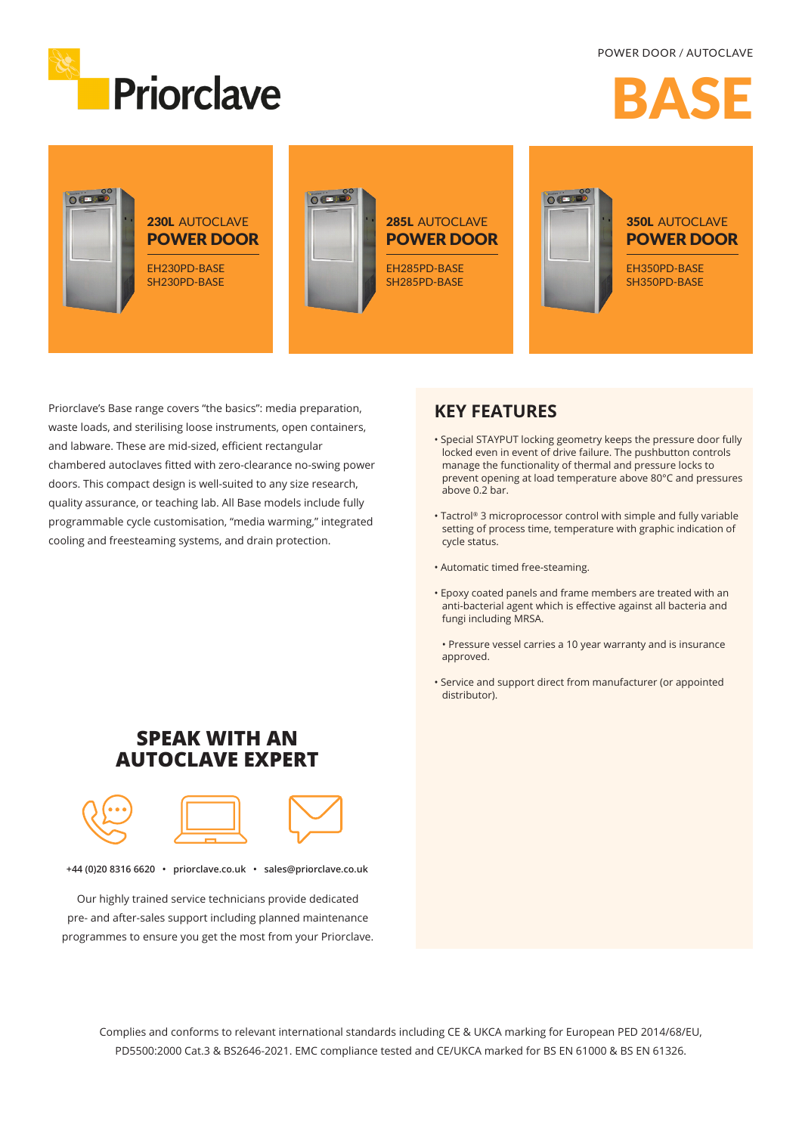

# RAC



Priorclave's Base range covers "the basics": media preparation, waste loads, and sterilising loose instruments, open containers, and labware. These are mid-sized, efficient rectangular chambered autoclaves fitted with zero-clearance no-swing power doors. This compact design is well-suited to any size research, quality assurance, or teaching lab. All Base models include fully programmable cycle customisation, "media warming," integrated cooling and freesteaming systems, and drain protection.

#### **KEY FEATURES**

- Special STAYPUT locking geometry keeps the pressure door fully locked even in event of drive failure. The pushbutton controls manage the functionality of thermal and pressure locks to prevent opening at load temperature above 80°C and pressures above 0.2 bar.
- Tactrol® 3 microprocessor control with simple and fully variable setting of process time, temperature with graphic indication of cycle status.
- Automatic timed free-steaming.
- Epoxy coated panels and frame members are treated with an anti-bacterial agent which is effective against all bacteria and fungi including MRSA.
	- Pressure vessel carries a 10 year warranty and is insurance approved.
- Service and support direct from manufacturer (or appointed distributor).

### **SPEAK WITH AN AUTOCLAVE EXPERT**



**+44 (0)20 8316 6620 • priorclave.co.uk • sales@priorclave.co.uk**

Our highly trained service technicians provide dedicated pre- and after-sales support including planned maintenance programmes to ensure you get the most from your Priorclave.

> Complies and conforms to relevant international standards including CE & UKCA marking for European PED 2014/68/EU, PD5500:2000 Cat.3 & BS2646-2021. EMC compliance tested and CE/UKCA marked for BS EN 61000 & BS EN 61326.